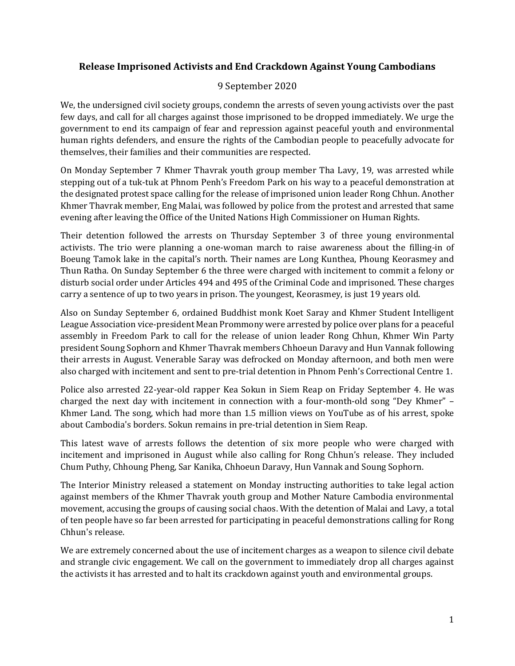## **Release Imprisoned Activists and End Crackdown Against Young Cambodians**

## 9 September 2020

We, the undersigned civil society groups, condemn the arrests of seven young activists over the past few days, and call for all charges against those imprisoned to be dropped immediately. We urge the government to end its campaign of fear and repression against peaceful youth and environmental human rights defenders, and ensure the rights of the Cambodian people to peacefully advocate for themselves, their families and their communities are respected.

On Monday September 7 Khmer Thavrak youth group member Tha Lavy, 19, was arrested while stepping out of a tuk-tuk at Phnom Penh's Freedom Park on his way to a peaceful demonstration at the designated protest space calling for the release of imprisoned union leader Rong Chhun. Another Khmer Thavrak member, Eng Malai, was followed by police from the protest and arrested that same evening after leaving the Office of the United Nations High Commissioner on Human Rights.

Their detention followed the arrests on Thursday September 3 of three young environmental activists. The trio were planning a one-woman march to raise awareness about the filling-in of Boeung Tamok lake in the capital's north. Their names are Long Kunthea, Phoung Keorasmey and Thun Ratha. On Sunday September 6 the three were charged with incitement to commit a felony or disturb social order under Articles 494 and 495 of the Criminal Code and imprisoned. These charges carry a sentence of up to two years in prison. The youngest, Keorasmey, is just 19 years old.

Also on Sunday September 6, ordained Buddhist monk Koet Saray and Khmer Student Intelligent League Association vice-president Mean Prommony were arrested by police over plans for a peaceful assembly in Freedom Park to call for the release of union leader Rong Chhun, Khmer Win Party president Soung Sophorn and Khmer Thavrak members Chhoeun Daravy and Hun Vannak following their arrests in August. Venerable Saray was defrocked on Monday afternoon, and both men were also charged with incitement and sent to pre-trial detention in Phnom Penh's Correctional Centre 1.

Police also arrested 22-year-old rapper Kea Sokun in Siem Reap on Friday September 4. He was charged the next day with incitement in connection with a four-month-old song "Dey Khmer" – Khmer Land. The song, which had more than 1.5 million views on YouTube as of his arrest, spoke about Cambodia's borders. Sokun remains in pre-trial detention in Siem Reap.

This latest wave of arrests follows the detention of six more people who were charged with incitement and imprisoned in August while also calling for Rong Chhun's release. They included Chum Puthy, Chhoung Pheng, Sar Kanika, Chhoeun Daravy, Hun Vannak and Soung Sophorn.

The Interior Ministry released a statement on Monday instructing authorities to take legal action against members of the Khmer Thavrak youth group and Mother Nature Cambodia environmental movement, accusing the groups of causing social chaos. With the detention of Malai and Lavy, a total of ten people have so far been arrested for participating in peaceful demonstrations calling for Rong Chhun's release.

We are extremely concerned about the use of incitement charges as a weapon to silence civil debate and strangle civic engagement. We call on the government to immediately drop all charges against the activists it has arrested and to halt its crackdown against youth and environmental groups.